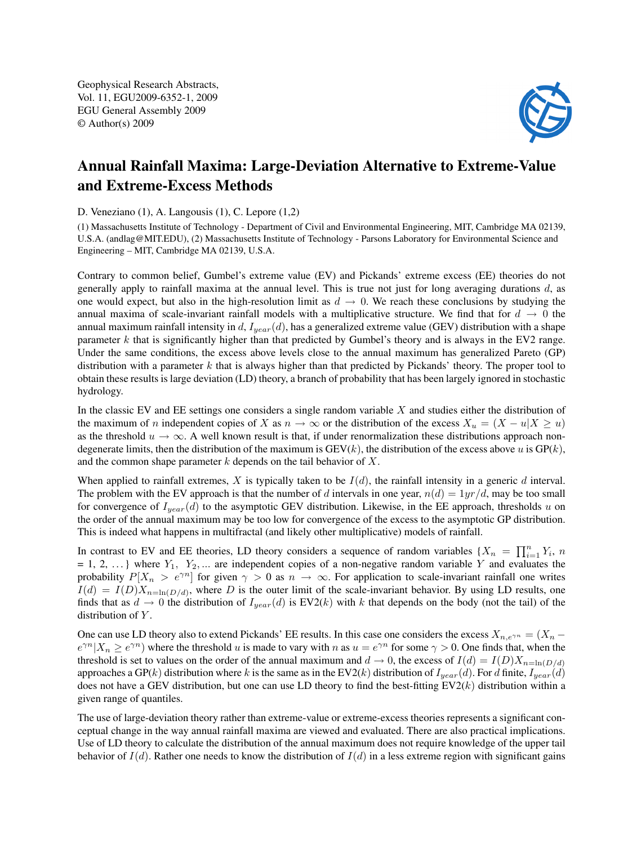Geophysical Research Abstracts, Vol. 11, EGU2009-6352-1, 2009 EGU General Assembly 2009 © Author(s) 2009



## Annual Rainfall Maxima: Large-Deviation Alternative to Extreme-Value and Extreme-Excess Methods

D. Veneziano (1), A. Langousis (1), C. Lepore (1,2)

(1) Massachusetts Institute of Technology - Department of Civil and Environmental Engineering, MIT, Cambridge MA 02139, U.S.A. (andlag@MIT.EDU), (2) Massachusetts Institute of Technology - Parsons Laboratory for Environmental Science and Engineering – MIT, Cambridge MA 02139, U.S.A.

Contrary to common belief, Gumbel's extreme value (EV) and Pickands' extreme excess (EE) theories do not generally apply to rainfall maxima at the annual level. This is true not just for long averaging durations  $d$ , as one would expect, but also in the high-resolution limit as  $d \rightarrow 0$ . We reach these conclusions by studying the annual maxima of scale-invariant rainfall models with a multiplicative structure. We find that for  $d \rightarrow 0$  the annual maximum rainfall intensity in d,  $I_{year}(d)$ , has a generalized extreme value (GEV) distribution with a shape parameter  $k$  that is significantly higher than that predicted by Gumbel's theory and is always in the EV2 range. Under the same conditions, the excess above levels close to the annual maximum has generalized Pareto (GP) distribution with a parameter k that is always higher than that predicted by Pickands' theory. The proper tool to obtain these results is large deviation (LD) theory, a branch of probability that has been largely ignored in stochastic hydrology.

In the classic EV and EE settings one considers a single random variable X and studies either the distribution of the maximum of n independent copies of X as  $n \to \infty$  or the distribution of the excess  $X_u = (X - u|X \ge u)$ as the threshold  $u \to \infty$ . A well known result is that, if under renormalization these distributions approach nondegenerate limits, then the distribution of the maximum is  $GEV(k)$ , the distribution of the excess above u is  $GP(k)$ , and the common shape parameter  $k$  depends on the tail behavior of  $X$ .

When applied to rainfall extremes, X is typically taken to be  $I(d)$ , the rainfall intensity in a generic d interval. The problem with the EV approach is that the number of d intervals in one year,  $n(d) = 1yr/d$ , may be too small for convergence of  $I_{year}(d)$  to the asymptotic GEV distribution. Likewise, in the EE approach, thresholds u on the order of the annual maximum may be too low for convergence of the excess to the asymptotic GP distribution. This is indeed what happens in multifractal (and likely other multiplicative) models of rainfall.

In contrast to EV and EE theories, LD theory considers a sequence of random variables  $\{X_n = \prod_{i=1}^n Y_i, n\}$  $= 1, 2, \ldots$  where  $Y_1, Y_2, \ldots$  are independent copies of a non-negative random variable Y and evaluates the probability  $P[X_n > e^{\gamma n}]$  for given  $\gamma > 0$  as  $n \to \infty$ . For application to scale-invariant rainfall one writes  $I(d) = I(D)X_{n=\ln(D/d)}$ , where D is the outer limit of the scale-invariant behavior. By using LD results, one finds that as  $d \to 0$  the distribution of  $I_{year}(d)$  is EV2(k) with k that depends on the body (not the tail) of the distribution of Y.

One can use LD theory also to extend Pickands' EE results. In this case one considers the excess  $X_{n,e\gamma n} = (X_n$  $e^{\gamma n}|X_n \ge e^{\gamma n}$ ) where the threshold u is made to vary with n as  $u = e^{\gamma n}$  for some  $\gamma > 0$ . One finds that, when the threshold is set to values on the order of the annual maximum and  $d \to 0$ , the excess of  $I(d) = I(D)X_{n=\ln(D/d)}$ approaches a GP(k) distribution where k is the same as in the EV2(k) distribution of  $I_{year}(d)$ . For d finite,  $I_{year}(d)$ does not have a GEV distribution, but one can use LD theory to find the best-fitting  $EV2(k)$  distribution within a given range of quantiles.

The use of large-deviation theory rather than extreme-value or extreme-excess theories represents a significant conceptual change in the way annual rainfall maxima are viewed and evaluated. There are also practical implications. Use of LD theory to calculate the distribution of the annual maximum does not require knowledge of the upper tail behavior of  $I(d)$ . Rather one needs to know the distribution of  $I(d)$  in a less extreme region with significant gains